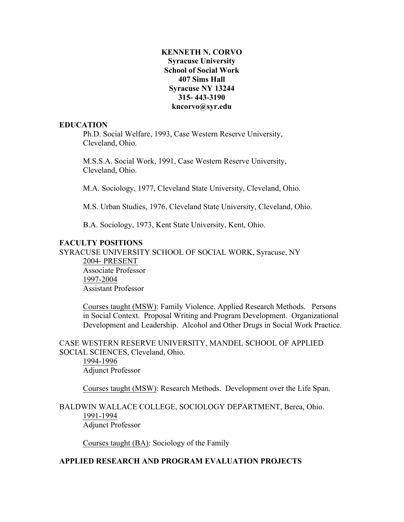## **315- 443-3190 KENNETH N. CORVO Syracuse University School of Social Work 407 Sims Hall Syracuse NY 13244 kncorvo@syr.edu**

#### **EDUCATION**

Ph.D. Social Welfare, 1993, Case Western Reserve University, Cleveland, Ohio.

M.S.S.A. Social Work, 1991, Case Western Reserve University, Cleveland, Ohio.

M.A. Sociology, 1977, Cleveland State University, Cleveland, Ohio.

M.S. Urban Studies, 1976, Cleveland State University, Cleveland, Ohio.

B.A. Sociology, 1973, Kent State University, Kent, Ohio.

## **FACULTY POSITIONS**

SYRACUSE UNIVERSITY SCHOOL OF SOCIAL WORK, Syracuse, NY

 2004- PRESENT Associate Professor 1997-2004 Assistant Professor

 in Social Context. Proposal Writing and Program Development. Organizational Development and Leadership. Alcohol and Other Drugs in Social Work Practice. Courses taught (MSW): Family Violence. Applied Research Methods. Persons

CASE WESTERN RESERVE UNIVERSITY, MANDEL SCHOOL OF APPLIED SOCIAL SCIENCES, Cleveland, Ohio.

1994-1996 Adjunct Professor

Courses taught (MSW): Research Methods. Development over the Life Span.

## BALDWIN WALLACE COLLEGE, SOCIOLOGY DEPARTMENT, Berea, Ohio. 1991-1994 Adjunct Professor

Courses taught (BA): Sociology of the Family

# **APPLIED RESEARCH AND PROGRAM EVALUATION PROJECTS**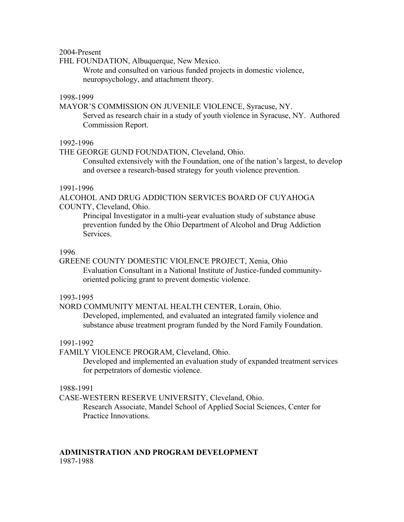2004-Present

FHL FOUNDATION, Albuquerque, New Mexico.

Wrote and consulted on various funded projects in domestic violence, neuropsychology, and attachment theory.

## 1998-1999

MAYOR'S COMMISSION ON JUVENILE VIOLENCE, Syracuse, NY. Served as research chair in a study of youth violence in Syracuse, NY. Authored Commission Report.

#### 1992-1996

THE GEORGE GUND FOUNDATION, Cleveland, Ohio.

Consulted extensively with the Foundation, one of the nation's largest, to develop and oversee a research-based strategy for youth violence prevention.

#### 1991-1996

ALCOHOL AND DRUG ADDICTION SERVICES BOARD OF CUYAHOGA COUNTY, Cleveland, Ohio.

Principal Investigator in a multi-year evaluation study of substance abuse prevention funded by the Ohio Department of Alcohol and Drug Addiction Services.

#### 1996

GREENE COUNTY DOMESTIC VIOLENCE PROJECT, Xenia, Ohio Evaluation Consultant in a National Institute of Justice-funded communityoriented policing grant to prevent domestic violence.

#### 1993-1995

 Developed, implemented, and evaluated an integrated family violence and NORD COMMUNITY MENTAL HEALTH CENTER, Lorain, Ohio. substance abuse treatment program funded by the Nord Family Foundation.

#### 1991-1992

FAMILY VIOLENCE PROGRAM, Cleveland, Ohio.

Developed and implemented an evaluation study of expanded treatment services for perpetrators of domestic violence.

#### 1988-1991

CASE-WESTERN RESERVE UNIVERSITY, Cleveland, Ohio.

Research Associate, Mandel School of Applied Social Sciences, Center for Practice Innovations.

# **ADMINISTRATION AND PROGRAM DEVELOPMENT**

1987-1988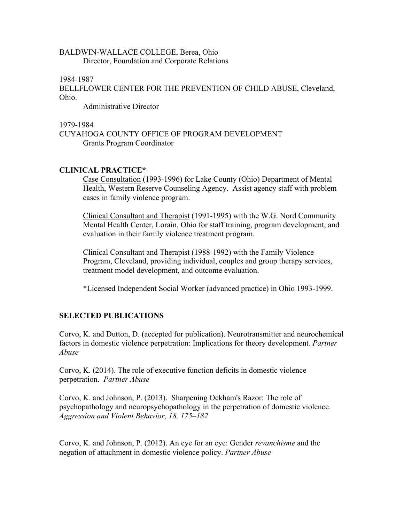## BALDWIN-WALLACE COLLEGE, Berea, Ohio Director, Foundation and Corporate Relations

1984-1987

BELLFLOWER CENTER FOR THE PREVENTION OF CHILD ABUSE, Cleveland, Ohio.

Administrative Director

1979-1984 CUYAHOGA COUNTY OFFICE OF PROGRAM DEVELOPMENT Grants Program Coordinator

# **CLINICAL PRACTICE\***

Case Consultation (1993-1996) for Lake County (Ohio) Department of Mental Health, Western Reserve Counseling Agency. Assist agency staff with problem cases in family violence program.

Clinical Consultant and Therapist (1991-1995) with the W.G. Nord Community Mental Health Center, Lorain, Ohio for staff training, program development, and evaluation in their family violence treatment program.

 Clinical Consultant and Therapist (1988-1992) with the Family Violence Program, Cleveland, providing individual, couples and group therapy services, treatment model development, and outcome evaluation.

\*Licensed Independent Social Worker (advanced practice) in Ohio 1993-1999.

# **SELECTED PUBLICATIONS**

Corvo, K. and Dutton, D. (accepted for publication). Neurotransmitter and neurochemical factors in domestic violence perpetration: Implications for theory development*. Partner Abuse* 

Corvo, K. (2014). The role of executive function deficits in domestic violence perpetration. *Partner Abuse* 

Corvo, K. and Johnson, P. (2013). Sharpening Ockham's Razor: The role of psychopathology and neuropsychopathology in the perpetration of domestic violence. *Aggression and Violent Behavior, 18, 175–182* 

 Corvo, K. and Johnson, P. (2012). An eye for an eye: Gender *revanchisme* and the negation of attachment in domestic violence policy. *Partner Abuse*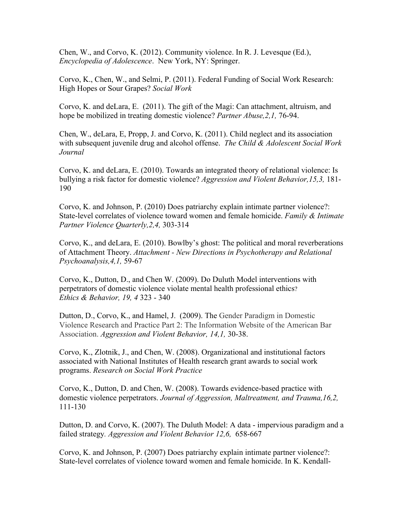*Encyclopedia of Adolescence*. New York, NY: Springer. Chen, W., and Corvo, K. (2012). Community violence. In R. J. Levesque (Ed.),

Corvo, K., Chen, W., and Selmi, P. (2011). Federal Funding of Social Work Research: High Hopes or Sour Grapes? *Social Work* 

Corvo, K. and deLara, E. (2011). The gift of the Magi: Can attachment, altruism, and hope be mobilized in treating domestic violence? *Partner Abuse,2,1,* 76-94.

Chen, W., deLara, E, Propp, J. and Corvo, K. (2011). Child neglect and its association with subsequent juvenile drug and alcohol offense. *The Child & Adolescent Social Work Journal* 

Corvo, K. and deLara, E. (2010). Towards an integrated theory of relational violence: Is bullying a risk factor for domestic violence? *Aggression and Violent Behavior,15,3,* 181- 190

Corvo, K. and Johnson, P. (2010) Does patriarchy explain intimate partner violence?: State-level correlates of violence toward women and female homicide. *Family & Intimate Partner Violence Quarterly,2,4,* 303-314

 of Attachment Theory. *Attachment - New Directions in Psychotherapy and Relational*  Corvo, K., and deLara, E. (2010). Bowlby's ghost: The political and moral reverberations *Psychoanalysis,4,1,* 59-67

 perpetrators of domestic violence violate mental health professional ethics? Corvo, K., Dutton, D., and Chen W. (2009). Do Duluth Model interventions with *Ethics & Behavior, 19, 4* 323 - 340

Dutton, D., Corvo, K., and Hamel, J. (2009). The Gender Paradigm in Domestic Violence Research and Practice Part 2: The Information Website of the American Bar Association. *Aggression and Violent Behavior, 14,1,* 30-38.

 Corvo, K., Zlotnik, J., and Chen, W. (2008). Organizational and institutional factors associated with National Institutes of Health research grant awards to social work programs. *Research on Social Work Practice* 

 domestic violence perpetrators. *Journal of Aggression, Maltreatment, and Trauma,16,2,*  Corvo, K., Dutton, D. and Chen, W. (2008). Towards evidence-based practice with 111-130

 Dutton, D. and Corvo, K. (2007). The Duluth Model: A data - impervious paradigm and a  failed strategy*. Aggression and Violent Behavior 12,6,* 658-667

 State-level correlates of violence toward women and female homicide. In K. Kendall-Corvo, K. and Johnson, P. (2007) Does patriarchy explain intimate partner violence?: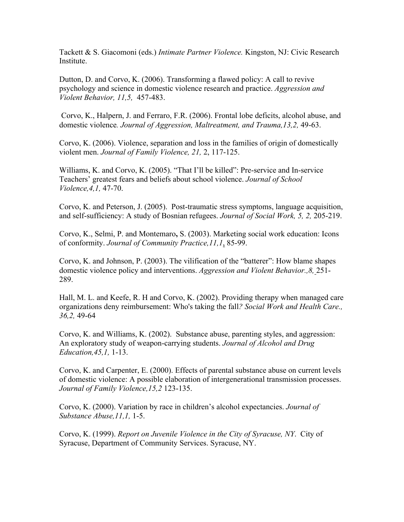Institute. Tackett & S. Giacomoni (eds.) *Intimate Partner Violence.* Kingston, NJ: Civic Research

 *Violent Behavior, 11,5,* 457-483. Dutton, D. and Corvo, K.  $(2006)$ . Transforming a flawed policy: A call to revive psychology and science in domestic violence research and practice. *Aggression and* 

 domestic violence*. Journal of Aggression, Maltreatment, and Trauma,13,2,* 49-63. Corvo, K., Halpern, J. and Ferraro, F.R. (2006). Frontal lobe deficits, alcohol abuse, and

violent men. Journal of Family Violence, 21, 2, 117-125. Corvo, K. (2006). Violence, separation and loss in the families of origin of domestically

 *Violence,4,1,* 47-70. Williams, K. and Corvo, K. (2005). "That I'll be killed": Pre-service and In-service Teachers' greatest fears and beliefs about school violence. *Journal of School* 

 and self-sufficiency: A study of Bosnian refugees. *Journal of Social Work, 5, 2,* 205-219. Corvo, K. and Peterson, J. (2005). Post-traumatic stress symptoms, language acquisition,

 of conformity. *Journal of Community Practice,11,1*, 85-99. Corvo, K., Selmi, P. and Montemaro**,** S. (2003). Marketing social work education: Icons

Corvo, K. and Johnson, P. (2003). The vilification of the "batterer": How blame shapes domestic violence policy and interventions. *Aggression and Violent Behavior.,8,* 251- 289.

 Hall, M. L. and Keefe, R. H and Corvo, K. (2002). Providing therapy when managed care *36,2,* 49-64 organizations deny reimbursement: Who's taking the fall*? Social Work and Health Care.,* 

Corvo, K. and Williams, K. (2002). Substance abuse, parenting styles, and aggression: *Education,45,1,* 1-13. An exploratory study of weapon-carrying students. *Journal of Alcohol and Drug* 

 *Journal of Family Violence,15,2* 123-135. Corvo, K. and Carpenter, E. (2000). Effects of parental substance abuse on current levels of domestic violence: A possible elaboration of intergenerational transmission processes.

 *Substance Abuse,11,1,* 1-5. Corvo, K. (2000). Variation by race in children's alcohol expectancies. *Journal of* 

Corvo, K. (1999). *Report on Juvenile Violence in the City of Syracuse, NY*. City of Syracuse, Department of Community Services. Syracuse, NY.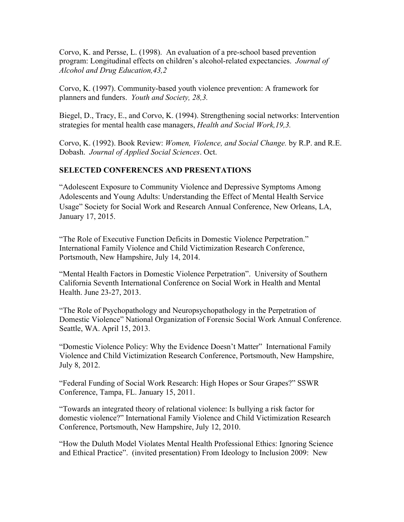Corvo, K. and Persse, L. (1998). An evaluation of a pre-school based prevention program: Longitudinal effects on children's alcohol-related expectancies. *Journal of Alcohol and Drug Education,43,2* 

Corvo, K. (1997). Community-based youth violence prevention: A framework for planners and funders. *Youth and Society, 28,3.* 

Biegel, D., Tracy, E., and Corvo, K. (1994). Strengthening social networks: Intervention strategies for mental health case managers, *Health and Social Work,19,3.* 

Corvo, K. (1992). Book Review: *Women, Violence, and Social Change.* by R.P. and R.E. Dobash. *Journal of Applied Social Sciences*. Oct.

# **SELECTED CONFERENCES AND PRESENTATIONS**

"Adolescent Exposure to Community Violence and Depressive Symptoms Among Adolescents and Young Adults: Understanding the Effect of Mental Health Service Usage" Society for Social Work and Research Annual Conference, New Orleans, LA, January 17, 2015.

"The Role of Executive Function Deficits in Domestic Violence Perpetration." International Family Violence and Child Victimization Research Conference, Portsmouth, New Hampshire, July 14, 2014.

"Mental Health Factors in Domestic Violence Perpetration". University of Southern California Seventh International Conference on Social Work in Health and Mental Health. June 23-27, 2013.

"The Role of Psychopathology and Neuropsychopathology in the Perpetration of Domestic Violence" National Organization of Forensic Social Work Annual Conference. Seattle, WA. April 15, 2013.

 "Domestic Violence Policy: Why the Evidence Doesn't Matter" International Family Violence and Child Victimization Research Conference, Portsmouth, New Hampshire, July 8, 2012.

"Federal Funding of Social Work Research: High Hopes or Sour Grapes?" SSWR Conference, Tampa, FL. January 15, 2011.

"Towards an integrated theory of relational violence: Is bullying a risk factor for domestic violence?" International Family Violence and Child Victimization Research Conference, Portsmouth, New Hampshire, July 12, 2010.

 and Ethical Practice". (invited presentation) From Ideology to Inclusion 2009: New "How the Duluth Model Violates Mental Health Professional Ethics: Ignoring Science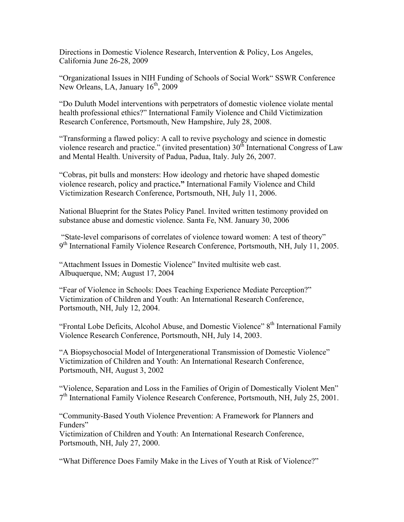Directions in Domestic Violence Research, Intervention & Policy, Los Angeles, California June 26-28, 2009

 "Organizational Issues in NIH Funding of Schools of Social Work" SSWR Conference New Orleans, LA, January  $16<sup>th</sup>$ , 2009

"Do Duluth Model interventions with perpetrators of domestic violence violate mental health professional ethics?" International Family Violence and Child Victimization Research Conference, Portsmouth, New Hampshire, July 28, 2008.

"Transforming a flawed policy: A call to revive psychology and science in domestic violence research and practice." (invited presentation)  $30<sup>th</sup>$  International Congress of Law and Mental Health. University of Padua, Padua, Italy. July 26, 2007.

"Cobras, pit bulls and monsters: How ideology and rhetoric have shaped domestic violence research, policy and practice**."** International Family Violence and Child Victimization Research Conference, Portsmouth, NH, July 11, 2006.

National Blueprint for the States Policy Panel. Invited written testimony provided on substance abuse and domestic violence. Santa Fe, NM. January 30, 2006

"State-level comparisons of correlates of violence toward women: A test of theory" 9<sup>th</sup> International Family Violence Research Conference, Portsmouth, NH, July 11, 2005.

 "Attachment Issues in Domestic Violence" Invited multisite web cast. Albuquerque, NM; August 17, 2004

"Fear of Violence in Schools: Does Teaching Experience Mediate Perception?" Victimization of Children and Youth: An International Research Conference, Portsmouth, NH, July 12, 2004.

"Frontal Lobe Deficits, Alcohol Abuse, and Domestic Violence" 8<sup>th</sup> International Family Violence Research Conference, Portsmouth, NH, July 14, 2003.

"A Biopsychosocial Model of Intergenerational Transmission of Domestic Violence" Victimization of Children and Youth: An International Research Conference, Portsmouth, NH, August 3, 2002

"Violence, Separation and Loss in the Families of Origin of Domestically Violent Men"  $7<sup>th</sup>$  International Family Violence Research Conference, Portsmouth, NH, July 25, 2001.

"Community-Based Youth Violence Prevention: A Framework for Planners and Funders"

Victimization of Children and Youth: An International Research Conference, Portsmouth, NH, July 27, 2000.

"What Difference Does Family Make in the Lives of Youth at Risk of Violence?"